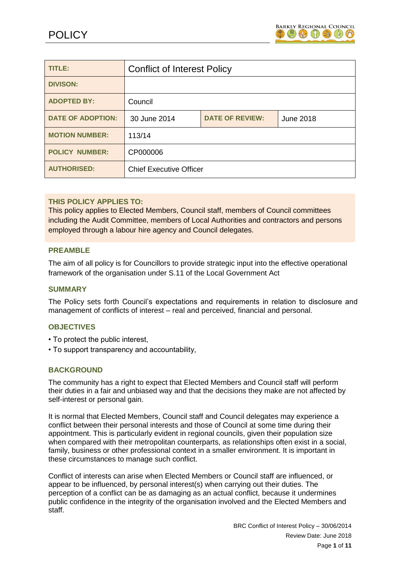

| TITLE:                   | <b>Conflict of Interest Policy</b>     |  |           |
|--------------------------|----------------------------------------|--|-----------|
| <b>DIVISON:</b>          |                                        |  |           |
| <b>ADOPTED BY:</b>       | Council                                |  |           |
| <b>DATE OF ADOPTION:</b> | <b>DATE OF REVIEW:</b><br>30 June 2014 |  | June 2018 |
| <b>MOTION NUMBER:</b>    | 113/14                                 |  |           |
| <b>POLICY NUMBER:</b>    | CP000006                               |  |           |
| <b>AUTHORISED:</b>       | <b>Chief Executive Officer</b>         |  |           |

# **THIS POLICY APPLIES TO:**

This policy applies to Elected Members, Council staff, members of Council committees including the Audit Committee, members of Local Authorities and contractors and persons employed through a labour hire agency and Council delegates.

#### **PREAMBLE**

The aim of all policy is for Councillors to provide strategic input into the effective operational framework of the organisation under S.11 of the Local Government Act

#### **SUMMARY**

The Policy sets forth Council's expectations and requirements in relation to disclosure and management of conflicts of interest – real and perceived, financial and personal.

#### **OBJECTIVES**

- To protect the public interest,
- To support transparency and accountability,

#### **BACKGROUND**

The community has a right to expect that Elected Members and Council staff will perform their duties in a fair and unbiased way and that the decisions they make are not affected by self-interest or personal gain.

It is normal that Elected Members, Council staff and Council delegates may experience a conflict between their personal interests and those of Council at some time during their appointment. This is particularly evident in regional councils, given their population size when compared with their metropolitan counterparts, as relationships often exist in a social, family, business or other professional context in a smaller environment. It is important in these circumstances to manage such conflict.

Conflict of interests can arise when Elected Members or Council staff are influenced, or appear to be influenced, by personal interest(s) when carrying out their duties. The perception of a conflict can be as damaging as an actual conflict, because it undermines public confidence in the integrity of the organisation involved and the Elected Members and staff.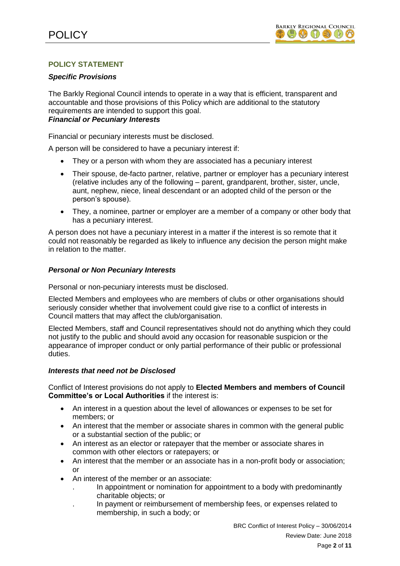# **POLICY STATEMENT**

#### *Specific Provisions*

The Barkly Regional Council intends to operate in a way that is efficient, transparent and accountable and those provisions of this Policy which are additional to the statutory requirements are intended to support this goal. *Financial or Pecuniary Interests* 

Financial or pecuniary interests must be disclosed.

A person will be considered to have a pecuniary interest if:

- They or a person with whom they are associated has a pecuniary interest
- Their spouse, de-facto partner, relative, partner or employer has a pecuniary interest (relative includes any of the following – parent, grandparent, brother, sister, uncle, aunt, nephew, niece, lineal descendant or an adopted child of the person or the person's spouse).
- They, a nominee, partner or employer are a member of a company or other body that has a pecuniary interest.

A person does not have a pecuniary interest in a matter if the interest is so remote that it could not reasonably be regarded as likely to influence any decision the person might make in relation to the matter.

#### *Personal or Non Pecuniary Interests*

Personal or non-pecuniary interests must be disclosed.

Elected Members and employees who are members of clubs or other organisations should seriously consider whether that involvement could give rise to a conflict of interests in Council matters that may affect the club/organisation.

Elected Members, staff and Council representatives should not do anything which they could not justify to the public and should avoid any occasion for reasonable suspicion or the appearance of improper conduct or only partial performance of their public or professional duties.

# *Interests that need not be Disclosed*

Conflict of Interest provisions do not apply to **Elected Members and members of Council Committee's or Local Authorities** if the interest is:

- An interest in a question about the level of allowances or expenses to be set for members; or
- An interest that the member or associate shares in common with the general public or a substantial section of the public; or
- An interest as an elector or ratepayer that the member or associate shares in common with other electors or ratepayers; or
- An interest that the member or an associate has in a non-profit body or association; or
- An interest of the member or an associate:
	- . In appointment or nomination for appointment to a body with predominantly charitable objects; or
	- . In payment or reimbursement of membership fees, or expenses related to membership, in such a body; or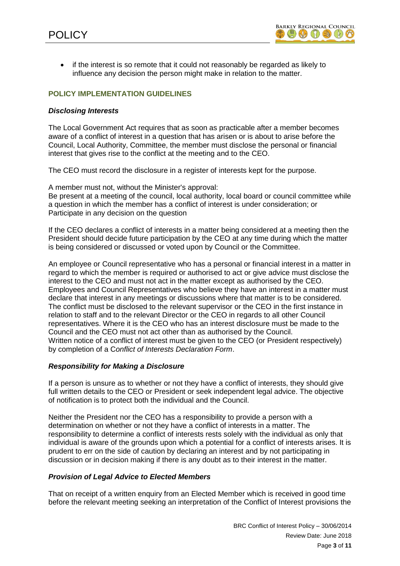• if the interest is so remote that it could not reasonably be regarded as likely to influence any decision the person might make in relation to the matter.

# **POLICY IMPLEMENTATION GUIDELINES**

#### *Disclosing Interests*

The Local Government Act requires that as soon as practicable after a member becomes aware of a conflict of interest in a question that has arisen or is about to arise before the Council, Local Authority, Committee, the member must disclose the personal or financial interest that gives rise to the conflict at the meeting and to the CEO.

The CEO must record the disclosure in a register of interests kept for the purpose.

A member must not, without the Minister's approval: Be present at a meeting of the council, local authority, local board or council committee while a question in which the member has a conflict of interest is under consideration; or Participate in any decision on the question

If the CEO declares a conflict of interests in a matter being considered at a meeting then the President should decide future participation by the CEO at any time during which the matter is being considered or discussed or voted upon by Council or the Committee.

An employee or Council representative who has a personal or financial interest in a matter in regard to which the member is required or authorised to act or give advice must disclose the interest to the CEO and must not act in the matter except as authorised by the CEO. Employees and Council Representatives who believe they have an interest in a matter must declare that interest in any meetings or discussions where that matter is to be considered. The conflict must be disclosed to the relevant supervisor or the CEO in the first instance in relation to staff and to the relevant Director or the CEO in regards to all other Council representatives. Where it is the CEO who has an interest disclosure must be made to the Council and the CEO must not act other than as authorised by the Council. Written notice of a conflict of interest must be given to the CEO (or President respectively) by completion of a C*onflict of Interests Declaration Form*.

# *Responsibility for Making a Disclosure*

If a person is unsure as to whether or not they have a conflict of interests, they should give full written details to the CEO or President or seek independent legal advice. The objective of notification is to protect both the individual and the Council.

Neither the President nor the CEO has a responsibility to provide a person with a determination on whether or not they have a conflict of interests in a matter. The responsibility to determine a conflict of interests rests solely with the individual as only that individual is aware of the grounds upon which a potential for a conflict of interests arises. It is prudent to err on the side of caution by declaring an interest and by not participating in discussion or in decision making if there is any doubt as to their interest in the matter.

#### *Provision of Legal Advice to Elected Members*

That on receipt of a written enquiry from an Elected Member which is received in good time before the relevant meeting seeking an interpretation of the Conflict of Interest provisions the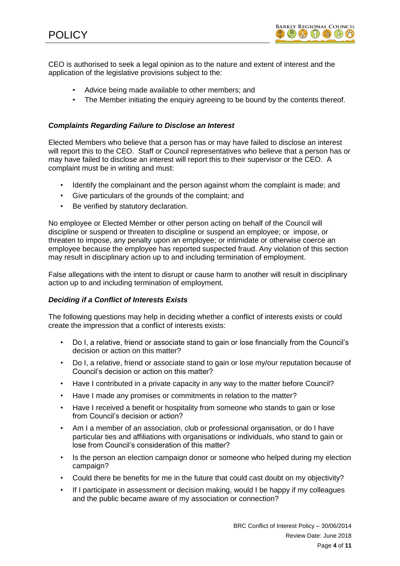

CEO is authorised to seek a legal opinion as to the nature and extent of interest and the application of the legislative provisions subject to the:

- Advice being made available to other members; and
- The Member initiating the enquiry agreeing to be bound by the contents thereof.

# *Complaints Regarding Failure to Disclose an Interest*

Elected Members who believe that a person has or may have failed to disclose an interest will report this to the CEO. Staff or Council representatives who believe that a person has or may have failed to disclose an interest will report this to their supervisor or the CEO. A complaint must be in writing and must:

- Identify the complainant and the person against whom the complaint is made; and
- Give particulars of the grounds of the complaint; and
- Be verified by statutory declaration.

No employee or Elected Member or other person acting on behalf of the Council will discipline or suspend or threaten to discipline or suspend an employee; or impose, or threaten to impose, any penalty upon an employee; or intimidate or otherwise coerce an employee because the employee has reported suspected fraud. Any violation of this section may result in disciplinary action up to and including termination of employment.

False allegations with the intent to disrupt or cause harm to another will result in disciplinary action up to and including termination of employment.

# *Deciding if a Conflict of Interests Exists*

The following questions may help in deciding whether a conflict of interests exists or could create the impression that a conflict of interests exists:

- Do I, a relative, friend or associate stand to gain or lose financially from the Council's decision or action on this matter?
- Do I, a relative, friend or associate stand to gain or lose my/our reputation because of Council's decision or action on this matter?
- Have I contributed in a private capacity in any way to the matter before Council?
- Have I made any promises or commitments in relation to the matter?
- Have I received a benefit or hospitality from someone who stands to gain or lose from Council's decision or action?
- Am I a member of an association, club or professional organisation, or do I have particular ties and affiliations with organisations or individuals, who stand to gain or lose from Council's consideration of this matter?
- Is the person an election campaign donor or someone who helped during my election campaign?
- Could there be benefits for me in the future that could cast doubt on my objectivity?
- If I participate in assessment or decision making, would I be happy if my colleagues and the public became aware of my association or connection?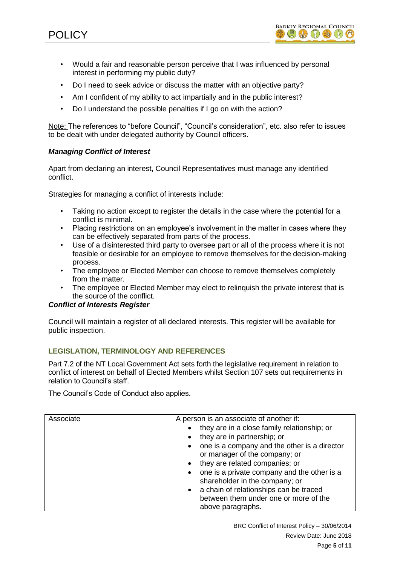

- Would a fair and reasonable person perceive that I was influenced by personal interest in performing my public duty?
- Do I need to seek advice or discuss the matter with an objective party?
- Am I confident of my ability to act impartially and in the public interest?
- Do I understand the possible penalties if I go on with the action?

Note: The references to "before Council", "Council's consideration", etc. also refer to issues to be dealt with under delegated authority by Council officers.

# *Managing Conflict of Interest*

Apart from declaring an interest, Council Representatives must manage any identified conflict.

Strategies for managing a conflict of interests include:

- Taking no action except to register the details in the case where the potential for a conflict is minimal.
- Placing restrictions on an employee's involvement in the matter in cases where they can be effectively separated from parts of the process.
- Use of a disinterested third party to oversee part or all of the process where it is not feasible or desirable for an employee to remove themselves for the decision-making process.
- The employee or Elected Member can choose to remove themselves completely from the matter.
- The employee or Elected Member may elect to relinquish the private interest that is the source of the conflict.

# *Conflict of Interests Register*

Council will maintain a register of all declared interests. This register will be available for public inspection.

# **LEGISLATION, TERMINOLOGY AND REFERENCES**

Part 7.2 of the NT Local Government Act sets forth the legislative requirement in relation to conflict of interest on behalf of Elected Members whilst Section 107 sets out requirements in relation to Council's staff.

The Council's Code of Conduct also applies.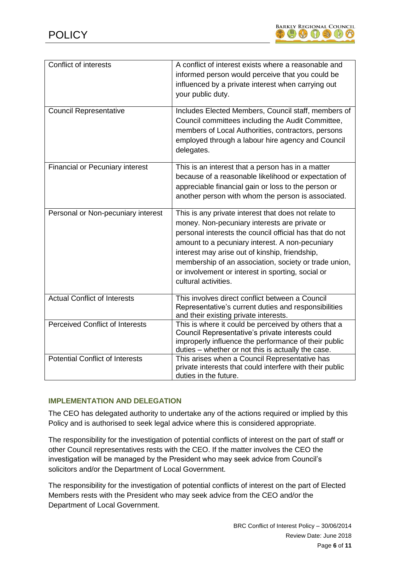

| <b>Conflict of interests</b>           | A conflict of interest exists where a reasonable and<br>informed person would perceive that you could be<br>influenced by a private interest when carrying out<br>your public duty.                                                                                                                                                                                                                         |
|----------------------------------------|-------------------------------------------------------------------------------------------------------------------------------------------------------------------------------------------------------------------------------------------------------------------------------------------------------------------------------------------------------------------------------------------------------------|
| <b>Council Representative</b>          | Includes Elected Members, Council staff, members of<br>Council committees including the Audit Committee,<br>members of Local Authorities, contractors, persons<br>employed through a labour hire agency and Council<br>delegates.                                                                                                                                                                           |
| <b>Financial or Pecuniary interest</b> | This is an interest that a person has in a matter<br>because of a reasonable likelihood or expectation of<br>appreciable financial gain or loss to the person or<br>another person with whom the person is associated.                                                                                                                                                                                      |
| Personal or Non-pecuniary interest     | This is any private interest that does not relate to<br>money. Non-pecuniary interests are private or<br>personal interests the council official has that do not<br>amount to a pecuniary interest. A non-pecuniary<br>interest may arise out of kinship, friendship,<br>membership of an association, society or trade union,<br>or involvement or interest in sporting, social or<br>cultural activities. |
| <b>Actual Conflict of Interests</b>    | This involves direct conflict between a Council<br>Representative's current duties and responsibilities<br>and their existing private interests.                                                                                                                                                                                                                                                            |
| <b>Perceived Conflict of Interests</b> | This is where it could be perceived by others that a<br>Council Representative's private interests could<br>improperly influence the performance of their public<br>duties - whether or not this is actually the case.                                                                                                                                                                                      |
| <b>Potential Conflict of Interests</b> | This arises when a Council Representative has<br>private interests that could interfere with their public<br>duties in the future.                                                                                                                                                                                                                                                                          |

# **IMPLEMENTATION AND DELEGATION**

The CEO has delegated authority to undertake any of the actions required or implied by this Policy and is authorised to seek legal advice where this is considered appropriate.

The responsibility for the investigation of potential conflicts of interest on the part of staff or other Council representatives rests with the CEO. If the matter involves the CEO the investigation will be managed by the President who may seek advice from Council's solicitors and/or the Department of Local Government.

The responsibility for the investigation of potential conflicts of interest on the part of Elected Members rests with the President who may seek advice from the CEO and/or the Department of Local Government.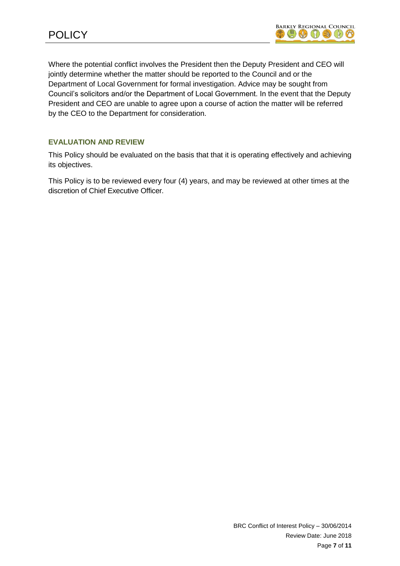Where the potential conflict involves the President then the Deputy President and CEO will jointly determine whether the matter should be reported to the Council and or the Department of Local Government for formal investigation. Advice may be sought from Council's solicitors and/or the Department of Local Government. In the event that the Deputy President and CEO are unable to agree upon a course of action the matter will be referred by the CEO to the Department for consideration.

# **EVALUATION AND REVIEW**

This Policy should be evaluated on the basis that that it is operating effectively and achieving its objectives.

This Policy is to be reviewed every four (4) years, and may be reviewed at other times at the discretion of Chief Executive Officer.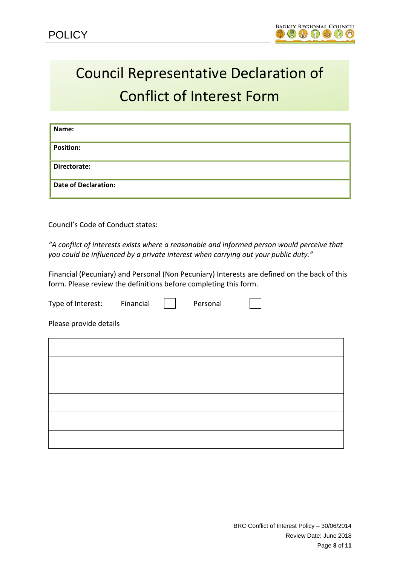# Council Representative Declaration of Conflict of Interest Form

| Name:                       |
|-----------------------------|
| <b>Position:</b>            |
| Directorate:                |
| <b>Date of Declaration:</b> |

Council's Code of Conduct states:

*"A conflict of interests exists where a reasonable and informed person would perceive that you could be influenced by a private interest when carrying out your public duty."* 

Financial (Pecuniary) and Personal (Non Pecuniary) Interests are defined on the back of this form. Please review the definitions before completing this form.

| Type of Interest:      | Financial | Personal |  |
|------------------------|-----------|----------|--|
| Please provide details |           |          |  |
|                        |           |          |  |
|                        |           |          |  |
|                        |           |          |  |
|                        |           |          |  |
|                        |           |          |  |
|                        |           |          |  |
|                        |           |          |  |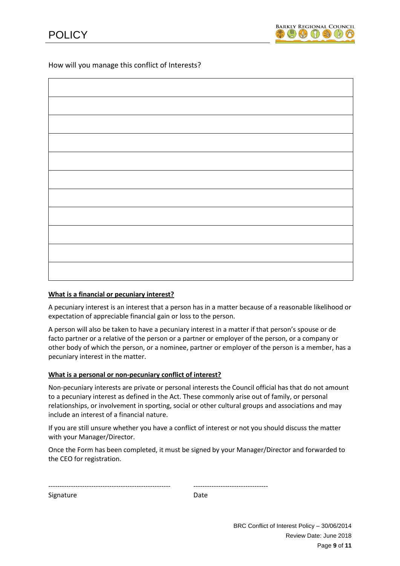How will you manage this conflict of Interests?

#### **What is a financial or pecuniary interest?**

A pecuniary interest is an interest that a person has in a matter because of a reasonable likelihood or expectation of appreciable financial gain or loss to the person.

A person will also be taken to have a pecuniary interest in a matter if that person's spouse or de facto partner or a relative of the person or a partner or employer of the person, or a company or other body of which the person, or a nominee, partner or employer of the person is a member, has a pecuniary interest in the matter.

#### **What is a personal or non-pecuniary conflict of interest?**

Non-pecuniary interests are private or personal interests the Council official has that do not amount to a pecuniary interest as defined in the Act. These commonly arise out of family, or personal relationships, or involvement in sporting, social or other cultural groups and associations and may include an interest of a financial nature.

If you are still unsure whether you have a conflict of interest or not you should discuss the matter with your Manager/Director.

Once the Form has been completed, it must be signed by your Manager/Director and forwarded to the CEO for registration.

|           | ---------------------------------- |
|-----------|------------------------------------|
| Signature | Date                               |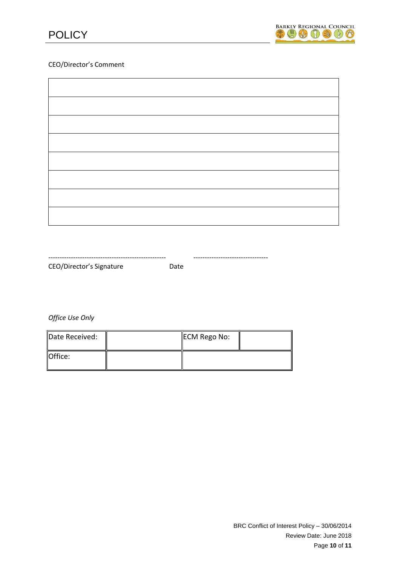



#### CEO/Director's Comment

| CEO/Director's Signature | Date |  |
|--------------------------|------|--|

*Office Use Only*

| Date Received: | ECM Rego No: |  |
|----------------|--------------|--|
| <b>Office:</b> |              |  |